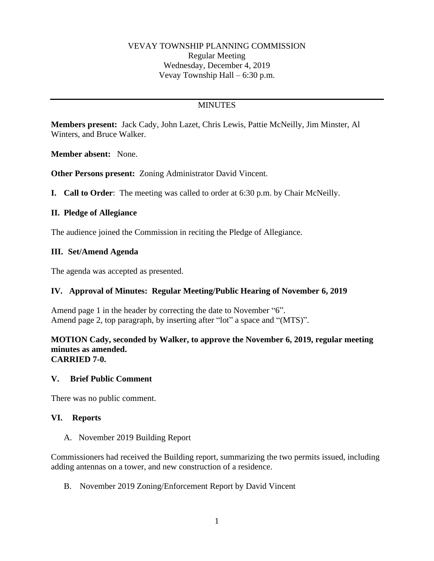### VEVAY TOWNSHIP PLANNING COMMISSION Regular Meeting Wednesday, December 4, 2019 Vevay Township Hall – 6:30 p.m.

# **MINUTES**

**Members present:** Jack Cady, John Lazet, Chris Lewis, Pattie McNeilly, Jim Minster, Al Winters, and Bruce Walker.

**Member absent:** None.

**Other Persons present:** Zoning Administrator David Vincent.

**I. Call to Order**: The meeting was called to order at 6:30 p.m. by Chair McNeilly.

### **II. Pledge of Allegiance**

The audience joined the Commission in reciting the Pledge of Allegiance.

### **III. Set/Amend Agenda**

The agenda was accepted as presented.

# **IV. Approval of Minutes: Regular Meeting/Public Hearing of November 6, 2019**

Amend page 1 in the header by correcting the date to November "6". Amend page 2, top paragraph, by inserting after "lot" a space and "(MTS)".

#### **MOTION Cady, seconded by Walker, to approve the November 6, 2019, regular meeting minutes as amended. CARRIED 7-0.**

### **V. Brief Public Comment**

There was no public comment.

### **VI. Reports**

A. November 2019 Building Report

Commissioners had received the Building report, summarizing the two permits issued, including adding antennas on a tower, and new construction of a residence.

B. November 2019 Zoning/Enforcement Report by David Vincent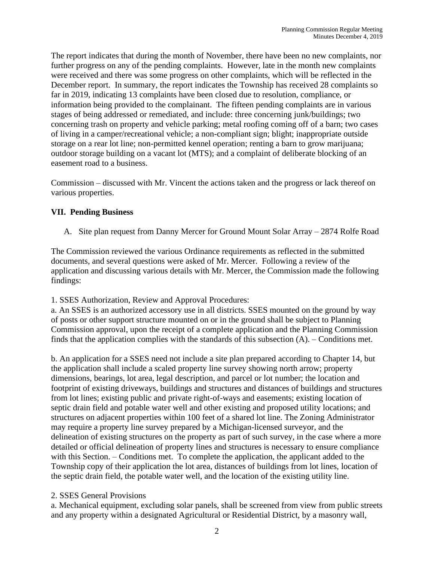The report indicates that during the month of November, there have been no new complaints, nor further progress on any of the pending complaints. However, late in the month new complaints were received and there was some progress on other complaints, which will be reflected in the December report. In summary, the report indicates the Township has received 28 complaints so far in 2019, indicating 13 complaints have been closed due to resolution, compliance, or information being provided to the complainant. The fifteen pending complaints are in various stages of being addressed or remediated, and include: three concerning junk/buildings; two concerning trash on property and vehicle parking; metal roofing coming off of a barn; two cases of living in a camper/recreational vehicle; a non-compliant sign; blight; inappropriate outside storage on a rear lot line; non-permitted kennel operation; renting a barn to grow marijuana; outdoor storage building on a vacant lot (MTS); and a complaint of deliberate blocking of an easement road to a business.

Commission – discussed with Mr. Vincent the actions taken and the progress or lack thereof on various properties.

# **VII. Pending Business**

A. Site plan request from Danny Mercer for Ground Mount Solar Array – 2874 Rolfe Road

The Commission reviewed the various Ordinance requirements as reflected in the submitted documents, and several questions were asked of Mr. Mercer. Following a review of the application and discussing various details with Mr. Mercer, the Commission made the following findings:

1. SSES Authorization, Review and Approval Procedures:

a. An SSES is an authorized accessory use in all districts. SSES mounted on the ground by way of posts or other support structure mounted on or in the ground shall be subject to Planning Commission approval, upon the receipt of a complete application and the Planning Commission finds that the application complies with the standards of this subsection (A). – Conditions met.

b. An application for a SSES need not include a site plan prepared according to Chapter 14, but the application shall include a scaled property line survey showing north arrow; property dimensions, bearings, lot area, legal description, and parcel or lot number; the location and footprint of existing driveways, buildings and structures and distances of buildings and structures from lot lines; existing public and private right-of-ways and easements; existing location of septic drain field and potable water well and other existing and proposed utility locations; and structures on adjacent properties within 100 feet of a shared lot line. The Zoning Administrator may require a property line survey prepared by a Michigan-licensed surveyor, and the delineation of existing structures on the property as part of such survey, in the case where a more detailed or official delineation of property lines and structures is necessary to ensure compliance with this Section. – Conditions met. To complete the application, the applicant added to the Township copy of their application the lot area, distances of buildings from lot lines, location of the septic drain field, the potable water well, and the location of the existing utility line.

# 2. SSES General Provisions

a. Mechanical equipment, excluding solar panels, shall be screened from view from public streets and any property within a designated Agricultural or Residential District, by a masonry wall,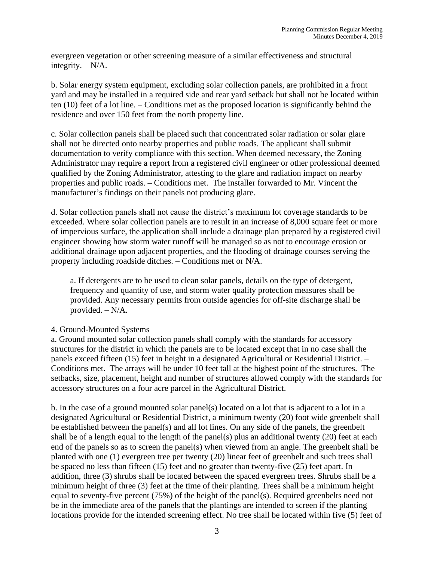evergreen vegetation or other screening measure of a similar effectiveness and structural integrity. – N/A.

b. Solar energy system equipment, excluding solar collection panels, are prohibited in a front yard and may be installed in a required side and rear yard setback but shall not be located within ten (10) feet of a lot line. – Conditions met as the proposed location is significantly behind the residence and over 150 feet from the north property line.

c. Solar collection panels shall be placed such that concentrated solar radiation or solar glare shall not be directed onto nearby properties and public roads. The applicant shall submit documentation to verify compliance with this section. When deemed necessary, the Zoning Administrator may require a report from a registered civil engineer or other professional deemed qualified by the Zoning Administrator, attesting to the glare and radiation impact on nearby properties and public roads. – Conditions met. The installer forwarded to Mr. Vincent the manufacturer's findings on their panels not producing glare.

d. Solar collection panels shall not cause the district's maximum lot coverage standards to be exceeded. Where solar collection panels are to result in an increase of 8,000 square feet or more of impervious surface, the application shall include a drainage plan prepared by a registered civil engineer showing how storm water runoff will be managed so as not to encourage erosion or additional drainage upon adjacent properties, and the flooding of drainage courses serving the property including roadside ditches. – Conditions met or N/A.

a. If detergents are to be used to clean solar panels, details on the type of detergent, frequency and quantity of use, and storm water quality protection measures shall be provided. Any necessary permits from outside agencies for off-site discharge shall be provided. – N/A.

# 4. Ground-Mounted Systems

a. Ground mounted solar collection panels shall comply with the standards for accessory structures for the district in which the panels are to be located except that in no case shall the panels exceed fifteen (15) feet in height in a designated Agricultural or Residential District. – Conditions met. The arrays will be under 10 feet tall at the highest point of the structures. The setbacks, size, placement, height and number of structures allowed comply with the standards for accessory structures on a four acre parcel in the Agricultural District.

b. In the case of a ground mounted solar panel(s) located on a lot that is adjacent to a lot in a designated Agricultural or Residential District, a minimum twenty (20) foot wide greenbelt shall be established between the panel(s) and all lot lines. On any side of the panels, the greenbelt shall be of a length equal to the length of the panel(s) plus an additional twenty (20) feet at each end of the panels so as to screen the panel(s) when viewed from an angle. The greenbelt shall be planted with one (1) evergreen tree per twenty (20) linear feet of greenbelt and such trees shall be spaced no less than fifteen (15) feet and no greater than twenty-five (25) feet apart. In addition, three (3) shrubs shall be located between the spaced evergreen trees. Shrubs shall be a minimum height of three (3) feet at the time of their planting. Trees shall be a minimum height equal to seventy-five percent (75%) of the height of the panel(s). Required greenbelts need not be in the immediate area of the panels that the plantings are intended to screen if the planting locations provide for the intended screening effect. No tree shall be located within five (5) feet of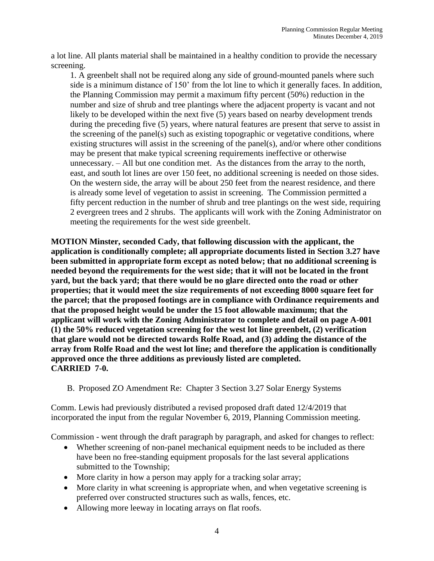a lot line. All plants material shall be maintained in a healthy condition to provide the necessary screening.

1. A greenbelt shall not be required along any side of ground-mounted panels where such side is a minimum distance of 150' from the lot line to which it generally faces. In addition, the Planning Commission may permit a maximum fifty percent (50%) reduction in the number and size of shrub and tree plantings where the adjacent property is vacant and not likely to be developed within the next five (5) years based on nearby development trends during the preceding five (5) years, where natural features are present that serve to assist in the screening of the panel(s) such as existing topographic or vegetative conditions, where existing structures will assist in the screening of the panel(s), and/or where other conditions may be present that make typical screening requirements ineffective or otherwise unnecessary. – All but one condition met. As the distances from the array to the north, east, and south lot lines are over 150 feet, no additional screening is needed on those sides. On the western side, the array will be about 250 feet from the nearest residence, and there is already some level of vegetation to assist in screening. The Commission permitted a fifty percent reduction in the number of shrub and tree plantings on the west side, requiring 2 evergreen trees and 2 shrubs. The applicants will work with the Zoning Administrator on meeting the requirements for the west side greenbelt.

**MOTION Minster, seconded Cady, that following discussion with the applicant, the application is conditionally complete; all appropriate documents listed in Section 3.27 have been submitted in appropriate form except as noted below; that no additional screening is needed beyond the requirements for the west side; that it will not be located in the front yard, but the back yard; that there would be no glare directed onto the road or other properties; that it would meet the size requirements of not exceeding 8000 square feet for the parcel; that the proposed footings are in compliance with Ordinance requirements and that the proposed height would be under the 15 foot allowable maximum; that the applicant will work with the Zoning Administrator to complete and detail on page A-001 (1) the 50% reduced vegetation screening for the west lot line greenbelt, (2) verification that glare would not be directed towards Rolfe Road, and (3) adding the distance of the array from Rolfe Road and the west lot line; and therefore the application is conditionally approved once the three additions as previously listed are completed. CARRIED 7-0.**

B. Proposed ZO Amendment Re: Chapter 3 Section 3.27 Solar Energy Systems

Comm. Lewis had previously distributed a revised proposed draft dated 12/4/2019 that incorporated the input from the regular November 6, 2019, Planning Commission meeting.

Commission - went through the draft paragraph by paragraph, and asked for changes to reflect:

- Whether screening of non-panel mechanical equipment needs to be included as there have been no free-standing equipment proposals for the last several applications submitted to the Township;
- More clarity in how a person may apply for a tracking solar array;
- More clarity in what screening is appropriate when, and when vegetative screening is preferred over constructed structures such as walls, fences, etc.
- Allowing more leeway in locating arrays on flat roofs.